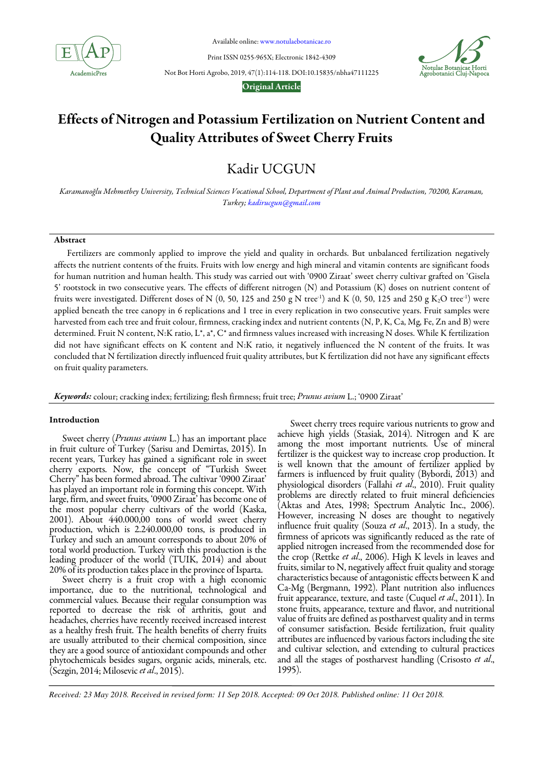

Available online: www.notulaebotanicae.ro

Print ISSN 0255-965X; Electronic 1842-4309



Not Bot Horti Agrobo, 2019, 47(1):114-118. DOI:10.15835/nbha47111225

Original Article

# Effects of Nitrogen and Potassium Fertilization on Nutrient Content and Quality Attributes of Sweet Cherry Fruits

Kadir UCGUN

Karamanoğlu Mehmetbey University, Technical Sciences Vocational School, Department of Plant and Animal Production, 70200, Karaman, Turkey; kadirucgun@gmail.com

## Abstract

Fertilizers are commonly applied to improve the yield and quality in orchards. But unbalanced fertilization negatively affects the nutrient contents of the fruits. Fruits with low energy and high mineral and vitamin contents are significant foods for human nutrition and human health. This study was carried out with '0900 Ziraat' sweet cherry cultivar grafted on 'Gisela 5' rootstock in two consecutive years. The effects of different nitrogen (N) and Potassium (K) doses on nutrient content of fruits were investigated. Different doses of N  $(0, 50, 125 \text{ and } 250 \text{ g N} \text{ tree}^{-1})$  and K  $(0, 50, 125 \text{ and } 250 \text{ g K}_2\text{O} \text{ tree}^{-1})$  were applied beneath the tree canopy in 6 replications and 1 tree in every replication in two consecutive years. Fruit samples were harvested from each tree and fruit colour, firmness, cracking index and nutrient contents (N, P, K, Ca, Mg, Fe, Zn and B) were determined. Fruit N content, N:K ratio, L\*, a\*, C\* and firmness values increased with increasing N doses. While K fertilization did not have significant effects on K content and N:K ratio, it negatively influenced the N content of the fruits. It was concluded that N fertilization directly influenced fruit quality attributes, but K fertilization did not have any significant effects on fruit quality parameters.

Keywords:colour; cracking index; fertilizing; flesh firmness; fruit tree; Prunus avium L.; '0900 Ziraat'

## Introduction

Sweet cherry (Prunus avium L.) has an important place in fruit culture of Turkey (Sarisu and Demirtas, 2015). In recent years, Turkey has gained a significant role in sweet cherry exports. Now, the concept of "Turkish Sweet Cherry" has been formed abroad. The cultivar '0900 Ziraat' has played an important role in forming this concept. With large, firm, and sweet fruits, '0900 Ziraat' has become one of the most popular cherry cultivars of the world (Kaska, 2001). About 440.000,00 tons of world sweet cherry production, which is 2.240.000,00 tons, is produced in Turkey and such an amount corresponds to about 20% of total world production. Turkey with this production is the leading producer of the world (TUIK, 2014) and about 20% of its production takes place in the province of Isparta.

Sweet cherry is a fruit crop with a high economic importance, due to the nutritional, technological and commercial values. Because their regular consumption was reported to decrease the risk of arthritis, gout and headaches, cherries have recently received increased interest as a healthy fresh fruit. The health benefits of cherry fruits are usually attributed to their chemical composition, since they are a good source of antioxidant compounds and other phytochemicals besides sugars, organic acids, minerals, etc. (Sezgin, 2014; Milosevic et al., 2015).

Sweet cherry trees require various nutrients to grow and achieve high yields (Stasiak, 2014). Nitrogen and K are among the most important nutrients. Use of mineral fertilizer is the quickest way to increase crop production. It is well known that the amount of fertilizer applied by farmers is influenced by fruit quality (Bybordi, 2013) and physiological disorders (Fallahi et al., 2010). Fruit quality problems are directly related to fruit mineral deficiencies (Aktas and Ates, 1998; Spectrum Analytic Inc., 2006). However, increasing N doses are thought to negatively influence fruit quality (Souza et al., 2013). In a study, the firmness of apricots was significantly reduced as the rate of applied nitrogen increased from the recommended dose for the crop (Rettke et al., 2006). High K levels in leaves and fruits, similar to N, negatively affect fruit quality and storage characteristics because of antagonistic effects between K and Ca-Mg (Bergmann, 1992). Plant nutrition also influences fruit appearance, texture, and taste (Cuquel et al., 2011). In stone fruits, appearance, texture and flavor, and nutritional value of fruits are defined as postharvest quality and in terms of consumer satisfaction. Beside fertilization, fruit quality attributes are influenced by various factors including the site and cultivar selection, and extending to cultural practices and all the stages of postharvest handling (Crisosto et al., 1995).

*Received: 23 May 2018. Received in revised form: 11 Sep 2018. Accepted: 09 Oct 2018. Published online: 11 Oct 2018.*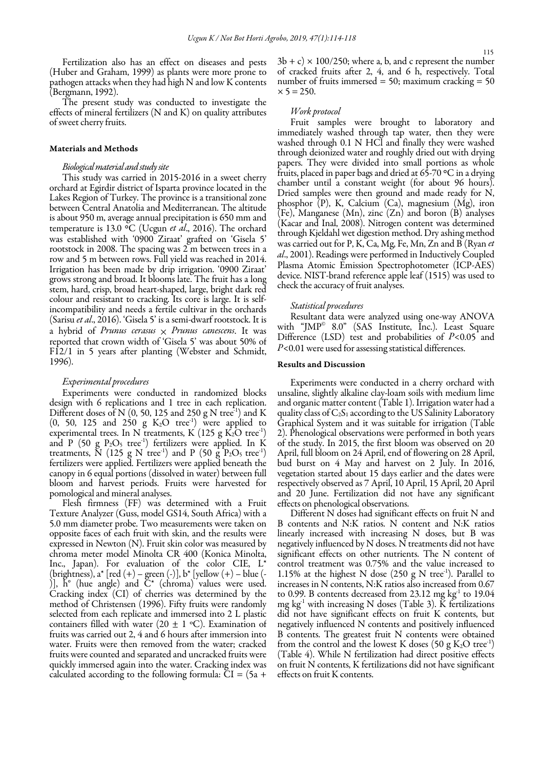Fertilization also has an effect on diseases and pests (Huber and Graham, 1999) as plants were more prone to pathogen attacks when they had high N and low  $K$  contents (Bergmann, 1992).

The present study was conducted to investigate the effects of mineral fertilizers (N and K) on quality attributes of sweet cherry fruits.

## Materials and Methods

## Biological material and study site

This study was carried in 2015-2016 in a sweet cherry orchard at Egirdir district of Isparta province located in the Lakes Region of Turkey. The province is a transitional zone between Central Anatolia and Mediterranean. The altitude is about 950 m, average annual precipitation is 650 mm and temperature is 13.0 °C (Ucgun et al., 2016). The orchard was established with '0900 Ziraat' grafted on 'Gisela 5' rootstock in 2008. The spacing was 2 m between trees in a row and 5 m between rows. Full yield was reached in 2014. Irrigation has been made by drip irrigation. '0900 Ziraat' grows strong and broad. It blooms late. The fruit has a long stem, hard, crisp, broad heart-shaped, large, bright dark red colour and resistant to cracking. Its core is large. It is selfincompatibility and needs a fertile cultivar in the orchards (Sarisu et al., 2016). 'Gisela 5' is a semi-dwarf rootstock. It is a hybrid of Prunus cerasus  $\times$  Prunus canescens. It was reported that crown width of 'Gisela 5' was about 50% of F12/1 in 5 years after planting (Webster and Schmidt, 1996).

#### Experimental procedures

Experiments were conducted in randomized blocks design with 6 replications and 1 tree in each replication. Different doses of N (0, 50, 125 and 250 g N tree<sup>-1</sup>) and K  $(0, 50, 125 \text{ and } 250 \text{ g K}_2\text{O tree}^{-1})$  were applied to experimental trees. In N treatments, K (125 g  $K_2O$  tree<sup>-1</sup>) and P (50 g  $P_2O_5$  tree<sup>-1</sup>) fertilizers were applied. In K treatments,  $\tilde{N}$  (125 g N tree<sup>-1</sup>) and P (50 g  $\tilde{P}_2O_5$  tree<sup>-1</sup>) fertilizers were applied. Fertilizers were applied beneath the canopy in 6 equal portions (dissolved in water) between full bloom and harvest periods. Fruits were harvested for pomological and mineral analyses.

Flesh firmness (FF) was determined with a Fruit Texture Analyzer (Guss, model GS14, South Africa) with a 5.0 mm diameter probe. Two measurements were taken on opposite faces of each fruit with skin, and the results were expressed in Newton (N). Fruit skin color was measured by chroma meter model Minolta CR 400 (Konica Minolta, Inc., Japan). For evaluation of the color CIE, L\* (brightness), a\* [red (+) – green (-)], b\* [yellow (+) – blue (- )], h° (hue angle) and C\* (chroma) values were used. Cracking index (CI) of cherries was determined by the method of Christensen (1996). Fifty fruits were randomly selected from each replicate and immersed into 2 L plastic containers filled with water (20  $\pm$  1 °C). Examination of fruits was carried out 2, 4 and 6 hours after immersion into water. Fruits were then removed from the water; cracked fruits were counted and separated and uncracked fruits were quickly immersed again into the water. Cracking index was calculated according to the following formula:  $\tilde{C}I = (5a +$ 

 $3b + c \times 100/250$ ; where a, b, and c represent the number of cracked fruits after 2, 4, and 6 h, respectively. Total number of fruits immersed  $= 50$ ; maximum cracking  $= 50$  $x 5 = 250.$ 

## Work protocol

Fruit samples were brought to laboratory and immediately washed through tap water, then they were washed through 0.1 N HCl and finally they were washed through deionized water and roughly dried out with drying papers. They were divided into small portions as whole fruits, placed in paper bags and dried at 65-70 °C in a drying chamber until a constant weight (for about 96 hours). Dried samples were then ground and made ready for N, phosphor (P), K, Calcium (Ca), magnesium (Mg), iron (Fe), Manganese (Mn), zinc (Zn) and boron (B) analyses (Kacar and Inal, 2008). Nitrogen content was determined through Kjeldahl wet digestion method. Dry ashing method was carried out for P, K, Ca, Mg, Fe, Mn, Zn and B (Ryan et al., 2001). Readings were performed in Inductively Coupled Plasma Atomic Emission Spectrophotometer (ICP-AES) device. NIST-brand reference apple leaf (1515) was used to check the accuracy of fruit analyses.

#### Statistical procedures

Resultant data were analyzed using one-way ANOVA with "JMP© 8.0" (SAS Institute, Inc.). Least Square Difference (LSD) test and probabilities of  $P<0.05$  and P<0.01 were used for assessing statistical differences.

## Results and Discussion

Experiments were conducted in a cherry orchard with unsaline, slightly alkaline clay-loam soils with medium lime and organic matter content (Table 1). Irrigation water had a quality class of  $C_2S_1$  according to the US Salinity Laboratory Graphical System and it was suitable for irrigation (Table 2). Phenological observations were performed in both years of the study. In 2015, the first bloom was observed on 20 April, full bloom on 24 April, end of flowering on 28 April, bud burst on 4 May and harvest on 2 July. In 2016, vegetation started about 15 days earlier and the dates were respectively observed as 7 April, 10 April, 15 April, 20 April and 20 June. Fertilization did not have any significant effects on phenological observations.

Different N doses had significant effects on fruit N and B contents and N:K ratios. N content and N:K ratios linearly increased with increasing N doses, but B was negatively influenced by N doses. N treatments did not have significant effects on other nutrients. The N content of control treatment was 0.75% and the value increased to 1.15% at the highest N dose (250 g N tree<sup>-1</sup>). Parallel to increases in N contents, N:K ratios also increased from 0.67 to 0.99. B contents decreased from 23.12 mg  $kg<sup>-1</sup>$  to 19.04 mg kg<sup>-1</sup> with increasing N doses (Table 3). K fertilizations did not have significant effects on fruit K contents, but negatively influenced N contents and positively influenced B contents. The greatest fruit N contents were obtained from the control and the lowest K doses (50 g  $K_2O$  tree<sup>-1</sup>) (Table 4). While N fertilization had direct positive effects on fruit N contents, K fertilizations did not have significant effects on fruit K contents.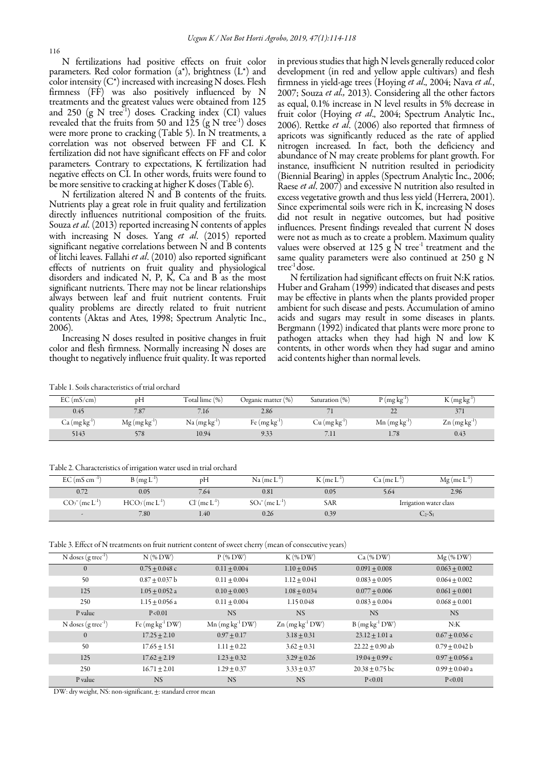N fertilizations had positive effects on fruit color parameters. Red color formation  $(a^*)$ , brightness  $(L^*)$  and color intensity  $(C^*)$  increased with increasing N doses. Flesh firmness (FF) was also positively influenced by N treatments and the greatest values were obtained from 125 and 250  $(g \text{ N tree}^{-1})$  doses. Cracking index (CI) values revealed that the fruits from 50 and 125  $(g N tree^{-1})$  doses were more prone to cracking (Table 5). In N treatments, a correlation was not observed between FF and CI. K fertilization did not have significant effects on FF and color parameters. Contrary to expectations, K fertilization had negative effects on CI. In other words, fruits were found to be more sensitive to cracking at higher K doses (Table 6).

N fertilization altered N and B contents of the fruits. Nutrients play a great role in fruit quality and fertilization directly influences nutritional composition of the fruits. Souza et al. (2013) reported increasing N contents of apples with increasing N doses. Yang et al. (2015) reported significant negative correlations between N and B contents of litchi leaves. Fallahi et al. (2010) also reported significant effects of nutrients on fruit quality and physiological disorders and indicated N, P, K, Ca and B as the most significant nutrients. There may not be linear relationships always between leaf and fruit nutrient contents. Fruit quality problems are directly related to fruit nutrient contents (Aktas and Ates, 1998; Spectrum Analytic Inc., 2006).

Increasing N doses resulted in positive changes in fruit color and flesh firmness. Normally increasing N doses are thought to negatively influence fruit quality. It was reported in previous studies that high N levels generally reduced color development (in red and yellow apple cultivars) and flesh firmness in yield-age trees (Hoying et al., 2004; Nava et al., 2007; Souza et al., 2013). Considering all the other factors as equal, 0.1% increase in N level results in 5% decrease in fruit color (Hoying et al., 2004; Spectrum Analytic Inc., 2006). Rettke et al. (2006) also reported that firmness of apricots was significantly reduced as the rate of applied nitrogen increased. In fact, both the deficiency and abundance of N may create problems for plant growth. For instance, insufficient N nutrition resulted in periodicity (Biennial Bearing) in apples (Spectrum Analytic Inc., 2006; Raese *et al.* 2007) and excessive N nutrition also resulted in excess vegetative growth and thus less yield (Herrera, 2001). Since experimental soils were rich in K, increasing N doses did not result in negative outcomes, but had positive influences. Present findings revealed that current N doses were not as much as to create a problem. Maximum quality values were observed at 125 g N tree<sup>-1</sup> treatment and the same quality parameters were also continued at 250 g N tree-1 dose.

N fertilization had significant effects on fruit N:K ratios. Huber and Graham (1999) indicated that diseases and pests may be effective in plants when the plants provided proper ambient for such disease and pests. Accumulation of amino acids and sugars may result in some diseases in plants. Bergmann (1992) indicated that plants were more prone to pathogen attacks when they had high N and low K contents, in other words when they had sugar and amino acid contents higher than normal levels.

Table 1. Soils characteristics of trial orchard

| EC(mS/cm)                 | pH             | Total lime $(\%)$         | Organic matter $(\%)$ | Saturation (%)              | $P(mgkg-1)$                 | $K(mgkg^{-1})$                                                |
|---------------------------|----------------|---------------------------|-----------------------|-----------------------------|-----------------------------|---------------------------------------------------------------|
| 0.45                      | 7.87           | 7.16                      | 2.86                  |                             | $\overline{\phantom{a}}$    |                                                               |
| Ca (mg kgʻ <sup>1</sup> ) | $Mg (mg kg-1)$ | Na (mg kg <sup>-1</sup> ) | Fe $(mg kg-1)$        | $Cu$ (mg kg <sup>-1</sup> ) | $Mn$ (mg kg <sup>-1</sup> ) | $\text{Zn} \left( \text{mg} \, \text{kg}^{\text{-1}} \right)$ |
| 5143                      | 578            | 10.94                     | 9.33                  |                             | 1.78                        | 0.43                                                          |

Table 2. Characteristics of irrigation water used in trial orchard

| $EC$ (mS cm <sup>-1</sup> ) | $B(mgL^{-1})$  | pН                    | $Na$ (me $L^{-1}$ )                       | $K$ (me $L^2$ | $T - 1$ .<br>Ca (me L' | $Mg$ (me L <sup>-</sup> |
|-----------------------------|----------------|-----------------------|-------------------------------------------|---------------|------------------------|-------------------------|
|                             | 0.05           | $^{\prime}.64$        | 0.81                                      | 0.05          | 5.64                   | 2.96                    |
| $CO3= (me L-1)$             | $HCO3(me L-1)$ | $Cl^r$ (me $L^{-1}$ ) | $SO_4$ <sup>=</sup> (me L <sup>-1</sup> ) | SAR           |                        | Irrigation water class  |
| $\sim$                      | 7.80           | 1.40                  | 0.26                                      | 0.39          |                        | $2 - 51$                |

Table 3. Effect of N treatments on fruit nutrient content of sweet cherry (mean of consecutive years)

|                                   |                   | $\sqrt{2}$                    |                               |                    |                    |
|-----------------------------------|-------------------|-------------------------------|-------------------------------|--------------------|--------------------|
| $N$ doses $(g \text{ tree}^{-1})$ | $N$ (% DW)        | $P$ (% DW)                    | $K$ (% DW)                    | Ca (% DW)          | $Mg$ (% DW)        |
| $\overline{0}$                    | $0.75 + 0.048$ c  | $0.11 + 0.004$                | $1.10 + 0.045$                | $0.091 + 0.008$    | $0.063 + 0.002$    |
| 50                                | $0.87 + 0.037$ b  | $0.11 + 0.004$                | $1.12 + 0.041$                | $0.083 + 0.005$    | $0.064 + 0.002$    |
| 125                               | $1.05 + 0.052$ a  | $0.10 + 0.003$                | $1.08 + 0.034$                | $0.077 + 0.006$    | $0.061 \pm 0.001$  |
| 250                               | $1.15 + 0.056$ a  | $0.11 + 0.004$                | 1.15 0.048                    | $0.083 + 0.004$    | $0.068 + 0.001$    |
| P value                           | P < 0.01          | <b>NS</b>                     | <b>NS</b>                     | <b>NS</b>          | <b>NS</b>          |
| N doses $(g \, tree^{-1})$        | Fe $(mg kg-1 DW)$ | $Mn$ (mg kg <sup>-1</sup> DW) | $Zn$ (mg kg <sup>-1</sup> DW) | $B(mg kg-1 DW)$    | N:K                |
| $\mathbf{0}$                      | $17.25 + 2.10$    | $0.97 + 0.17$                 | $3.18 + 0.31$                 | $23.12 + 1.01$ a   | $0.67 + 0.036$ c   |
| 50                                | $17.65 + 1.51$    | $1.11 + 0.22$                 | $3.62 + 0.31$                 | $22.22 + 0.90$ ab  | $0.79 + 0.042 b$   |
| 125                               | $17.62 \pm 2.19$  | $1.23 \pm 0.32$               | $3.29 \pm 0.26$               | $19.04 \pm 0.99$ c | $0.97 \pm 0.056$ a |
| 250                               | $16.71 \pm 2.01$  | $1.29 + 0.37$                 | $3.33 \pm 0.37$               | $20.38 + 0.75$ bc  | $0.99 + 0.040$ a   |
| P value                           | <b>NS</b>         | <b>NS</b>                     | <b>NS</b>                     | P < 0.01           | P < 0.01           |

DW: dry weight, NS: non-significant, ±: standard error mean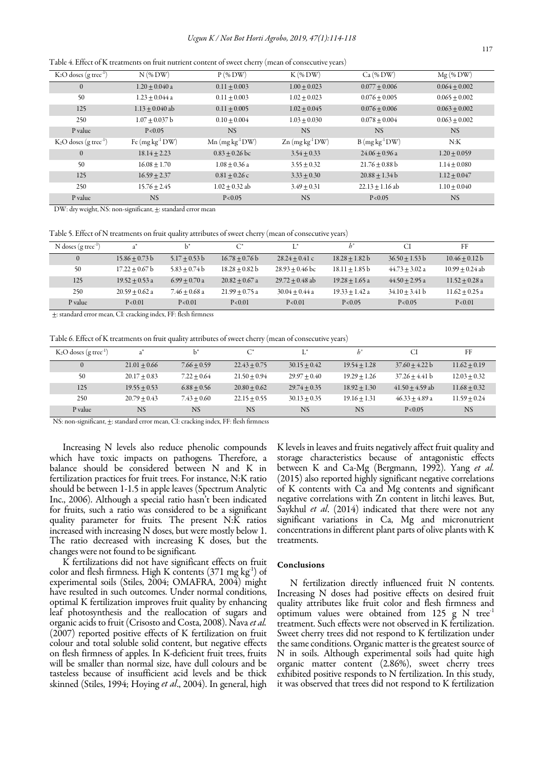Table 4. Effect of K treatments on fruit nutrient content of sweet cherry (mean of consecutive years)

| $K_2O$ doses (g tree <sup>-1</sup> ) | $N$ (% DW)        | $P$ (% DW)                    | $K$ (% DW)                    | Ca (% DW)         | $Mg$ (% DW)     |
|--------------------------------------|-------------------|-------------------------------|-------------------------------|-------------------|-----------------|
| $\Omega$                             | $1.20 + 0.040$ a  | $0.11 + 0.003$                | $1.00 + 0.023$                | $0.077 + 0.006$   | $0.064 + 0.002$ |
| 50                                   | $1.23 + 0.044$ a  | $0.11 + 0.003$                | $1.02 + 0.023$                | $0.076 + 0.005$   | $0.065 + 0.002$ |
| 125                                  | $1.13 + 0.040$ ab | $0.11 + 0.005$                | $1.02 + 0.045$                | $0.076 + 0.006$   | $0.063 + 0.002$ |
| 250                                  | $1.07 + 0.037$ b  | $0.10 \pm 0.004$              | $1.03 + 0.030$                | $0.078 + 0.004$   | $0.063 + 0.002$ |
| P value                              | P < 0.05          | <b>NS</b>                     | <b>NS</b>                     | <b>NS</b>         | <b>NS</b>       |
| $K_2O$ doses (g tree <sup>-1</sup> ) | Fe $(mg kg-1 DW)$ | $Mn$ (mg kg <sup>-1</sup> DW) | $Zn$ (mg kg <sup>-1</sup> DW) | $B(mgkg^{-1}DW)$  | N:K             |
| $\theta$                             | $18.14 + 2.23$    | $0.83 + 0.26$ bc              | $3.54 + 0.33$                 | $24.06 + 0.96$ a  | $1.20 + 0.059$  |
| 50                                   | $16.08 + 1.70$    | $1.08 + 0.36$ a               | $3.55 + 0.32$                 | $21.76 + 0.88$ b  | $1.14 + 0.080$  |
| 125                                  | $16.59 + 2.37$    | $0.81 + 0.26$ c               | $3.33 + 0.30$                 | $20.88 + 1.34 b$  | $1.12 + 0.047$  |
| 250                                  | $15.76 + 2.45$    | $1.02 + 0.32$ ab              | $3.49 + 0.31$                 | $22.13 + 1.16$ ab | $1.10 + 0.040$  |
| P value                              | <b>NS</b>         | P < 0.05                      | <b>NS</b>                     | P < 0.05          | <b>NS</b>       |

DW: dry weight, NS: non-significant, ±: standard error mean

Table 5. Effect of N treatments on fruit quality attributes of sweet cherry (mean of consecutive years)

| N doses $(g \, tree^{-1})$ | $a^*$            | $h^*$           | $C^*$            | $I^*$             |                  | СI                 | FF                |
|----------------------------|------------------|-----------------|------------------|-------------------|------------------|--------------------|-------------------|
| $\Omega$                   | $15.86 + 0.73 b$ | $5.17 + 0.53 b$ | $16.78 + 0.76 b$ | $28.24 + 0.41c$   | $18.28 + 1.82 b$ | $36.50 + 1.53 b$   | $10.46 + 0.12 b$  |
| 50                         | $17.22 + 0.67$ b | $5.83 + 0.74 b$ | $18.28 + 0.82 b$ | $28.93 + 0.46$ bc | $18.11 + 1.85 b$ | $44.73 \pm 3.02$ a | $10.99 + 0.24$ ab |
| 125                        | $19.52 + 0.53$ a | $6.99 + 0.70$ a | $20.82 + 0.67$ a | $29.72 + 0.48$ ab | $19.28 + 1.65$ a | $44.50 + 2.95$ a   | $11.52 + 0.28$ a  |
| 250                        | $20.59 + 0.62$ a | $7.46 + 0.68$ a | $21.99 + 0.75$ a | $30.04 + 0.44$ a  | $19.33 + 1.42$ a | $34.10 + 3.41 b$   | $11.62 + 0.25$ a  |
| P value                    | P < 0.01         | P < 0.01        | P < 0.01         | P < 0.01          | P < 0.05         | P < 0.05           | P < 0.01          |

±: standard error mean, CI: cracking index, FF: flesh firmness

Table 6. Effect of K treatments on fruit quality attributes of sweet cherry (mean of consecutive years)

| $K_2O$ doses (g tree <sup>-1</sup> ) |                | $b^*$         | $\curvearrowright$ | r *            | $h^{\circ}$    | СI                | FF             |
|--------------------------------------|----------------|---------------|--------------------|----------------|----------------|-------------------|----------------|
|                                      | $21.01 + 0.66$ | $7.66 + 0.59$ | $22.43 + 0.75$     | $30.15 + 0.42$ | $19.54 + 1.28$ | $37.60 + 4.22 b$  | $11.62 + 0.19$ |
| 50                                   | $20.17 + 0.83$ | $7.22 + 0.64$ | $21.50 + 0.94$     | $29.97 + 0.40$ | $19.29 + 1.26$ | $37.26 + 4.41$ b  | $12.03 + 0.32$ |
| 125                                  | $19.55 + 0.53$ | $6.88 + 0.56$ | $20.80 + 0.62$     | $29.74 + 0.35$ | $18.92 + 1.30$ | $41.50 + 4.59$ ab | $11.68 + 0.32$ |
| 250                                  | $20.79 + 0.43$ | $7.43 + 0.60$ | $22.15 + 0.55$     | $30.13 + 0.35$ | $19.16 + 1.31$ | $46.33 + 4.89$ a  | $11.59 + 0.24$ |
| P value                              | <b>NS</b>      | <b>NS</b>     | <b>NS</b>          | <b>NS</b>      | <b>NS</b>      | P < 0.05          | <b>NS</b>      |

NS: non-significant, ±: standard error mean, CI: cracking index, FF: flesh firmness

Increasing N levels also reduce phenolic compounds which have toxic impacts on pathogens. Therefore, a balance should be considered between N and K in fertilization practices for fruit trees. For instance, N:K ratio should be between 1-1.5 in apple leaves (Spectrum Analytic Inc., 2006). Although a special ratio hasn't been indicated for fruits, such a ratio was considered to be a significant quality parameter for fruits. The present N:K ratios increased with increasing N doses, but were mostly below 1. The ratio decreased with increasing K doses, but the changes were not found to be significant.

K fertilizations did not have significant effects on fruit color and flesh firmness. High K contents  $(371 \text{ mg kg}^1)$  of experimental soils (Stiles, 2004; OMAFRA, 2004) might have resulted in such outcomes. Under normal conditions, optimal K fertilization improves fruit quality by enhancing leaf photosynthesis and the reallocation of sugars and organic acids to fruit (Crisosto and Costa, 2008). Nava et al. (2007) reported positive effects of K fertilization on fruit colour and total soluble solid content, but negative effects on flesh firmness of apples. In K-deficient fruit trees, fruits will be smaller than normal size, have dull colours and be tasteless because of insufficient acid levels and be thick skinned (Stiles, 1994; Hoying et al., 2004). In general, high

K levels in leaves and fruits negatively affect fruit quality and storage characteristics because of antagonistic effects between K and Ca-Mg (Bergmann, 1992). Yang et al. (2015) also reported highly significant negative correlations of K contents with Ca and Mg contents and significant negative correlations with Zn content in litchi leaves. But, Saykhul *et al.* (2014) indicated that there were not any significant variations in Ca, Mg and micronutrient concentrations in different plant parts of olive plants with K treatments.

#### Conclusions

N fertilization directly influenced fruit N contents. Increasing N doses had positive effects on desired fruit quality attributes like fruit color and flesh firmness and optimum values were obtained from 125 g N tree-1 treatment. Such effects were not observed in K fertilization. Sweet cherry trees did not respond to K fertilization under the same conditions. Organic matter is the greatest source of N in soils. Although experimental soils had quite high organic matter content (2.86%), sweet cherry trees exhibited positive responds to N fertilization. In this study, it was observed that trees did not respond to K fertilization